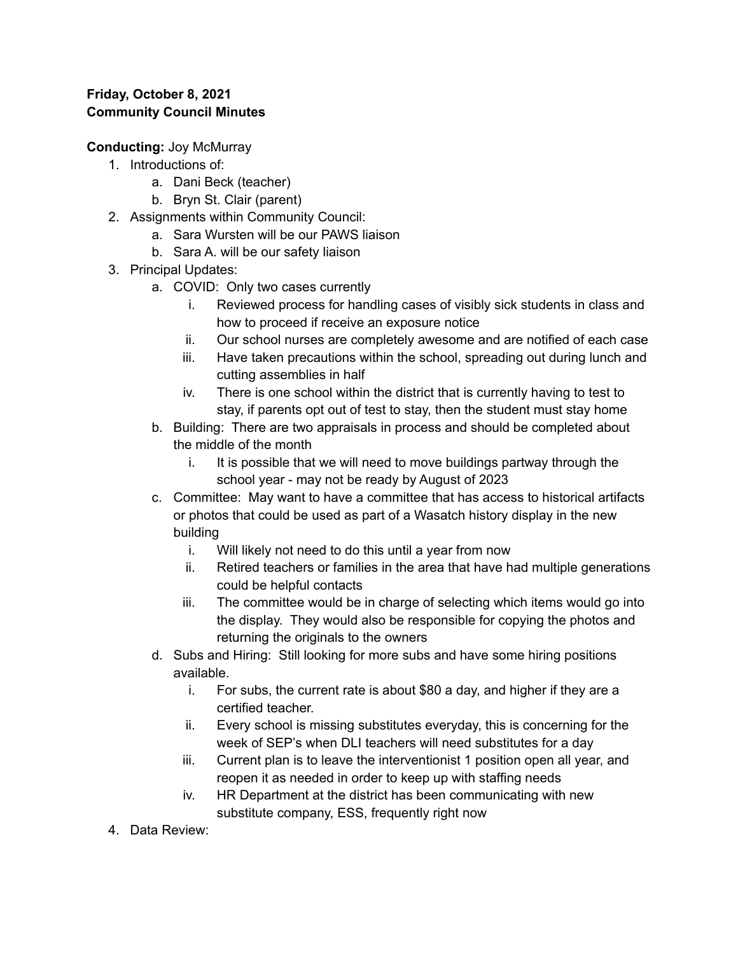## **Friday, October 8, 2021 Community Council Minutes**

**Conducting:** Joy McMurray

- 1. Introductions of:
	- a. Dani Beck (teacher)
	- b. Bryn St. Clair (parent)
- 2. Assignments within Community Council:
	- a. Sara Wursten will be our PAWS liaison
	- b. Sara A. will be our safety liaison
- 3. Principal Updates:
	- a. COVID: Only two cases currently
		- i. Reviewed process for handling cases of visibly sick students in class and how to proceed if receive an exposure notice
		- ii. Our school nurses are completely awesome and are notified of each case
		- iii. Have taken precautions within the school, spreading out during lunch and cutting assemblies in half
		- iv. There is one school within the district that is currently having to test to stay, if parents opt out of test to stay, then the student must stay home
	- b. Building: There are two appraisals in process and should be completed about the middle of the month
		- i. It is possible that we will need to move buildings partway through the school year - may not be ready by August of 2023
	- c. Committee: May want to have a committee that has access to historical artifacts or photos that could be used as part of a Wasatch history display in the new building
		- i. Will likely not need to do this until a year from now
		- ii. Retired teachers or families in the area that have had multiple generations could be helpful contacts
		- iii. The committee would be in charge of selecting which items would go into the display. They would also be responsible for copying the photos and returning the originals to the owners
	- d. Subs and Hiring: Still looking for more subs and have some hiring positions available.
		- i. For subs, the current rate is about \$80 a day, and higher if they are a certified teacher.
		- ii. Every school is missing substitutes everyday, this is concerning for the week of SEP's when DLI teachers will need substitutes for a day
		- iii. Current plan is to leave the interventionist 1 position open all year, and reopen it as needed in order to keep up with staffing needs
		- iv. HR Department at the district has been communicating with new substitute company, ESS, frequently right now
- 4. Data Review: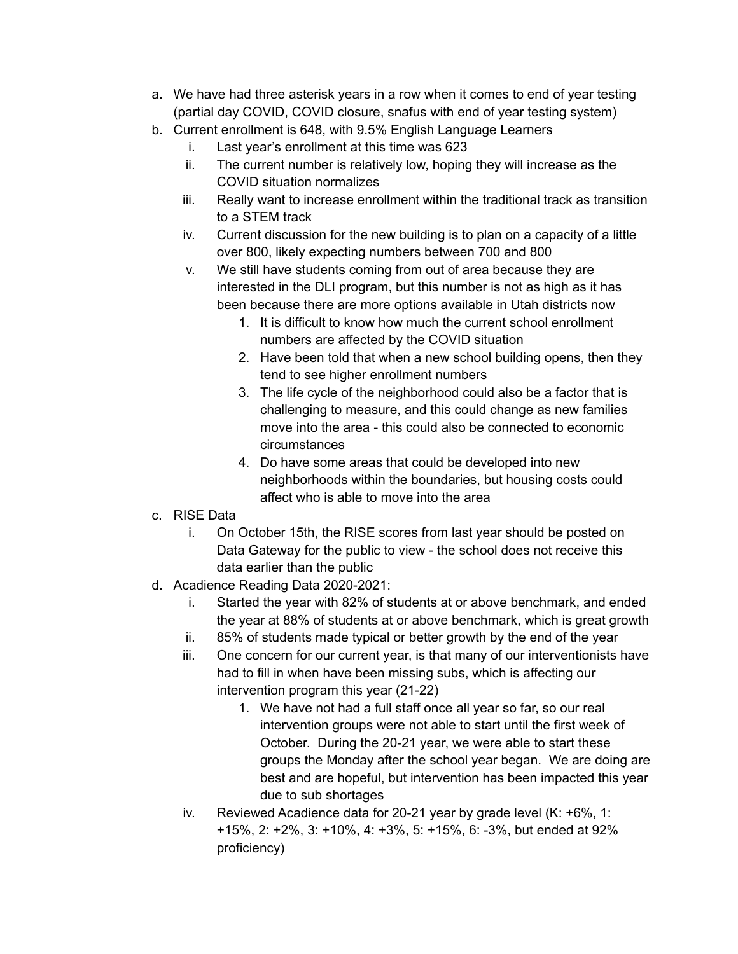- a. We have had three asterisk years in a row when it comes to end of year testing (partial day COVID, COVID closure, snafus with end of year testing system)
- b. Current enrollment is 648, with 9.5% English Language Learners
	- i. Last year's enrollment at this time was 623
	- ii. The current number is relatively low, hoping they will increase as the COVID situation normalizes
	- iii. Really want to increase enrollment within the traditional track as transition to a STEM track
	- iv. Current discussion for the new building is to plan on a capacity of a little over 800, likely expecting numbers between 700 and 800
	- v. We still have students coming from out of area because they are interested in the DLI program, but this number is not as high as it has been because there are more options available in Utah districts now
		- 1. It is difficult to know how much the current school enrollment numbers are affected by the COVID situation
		- 2. Have been told that when a new school building opens, then they tend to see higher enrollment numbers
		- 3. The life cycle of the neighborhood could also be a factor that is challenging to measure, and this could change as new families move into the area - this could also be connected to economic circumstances
		- 4. Do have some areas that could be developed into new neighborhoods within the boundaries, but housing costs could affect who is able to move into the area
- c. RISE Data
	- i. On October 15th, the RISE scores from last year should be posted on Data Gateway for the public to view - the school does not receive this data earlier than the public
- d. Acadience Reading Data 2020-2021:
	- i. Started the year with 82% of students at or above benchmark, and ended the year at 88% of students at or above benchmark, which is great growth
	- ii. 85% of students made typical or better growth by the end of the year
	- iii. One concern for our current year, is that many of our interventionists have had to fill in when have been missing subs, which is affecting our intervention program this year (21-22)
		- 1. We have not had a full staff once all year so far, so our real intervention groups were not able to start until the first week of October. During the 20-21 year, we were able to start these groups the Monday after the school year began. We are doing are best and are hopeful, but intervention has been impacted this year due to sub shortages
	- iv. Reviewed Acadience data for 20-21 year by grade level (K: +6%, 1: +15%, 2: +2%, 3: +10%, 4: +3%, 5: +15%, 6: -3%, but ended at 92% proficiency)